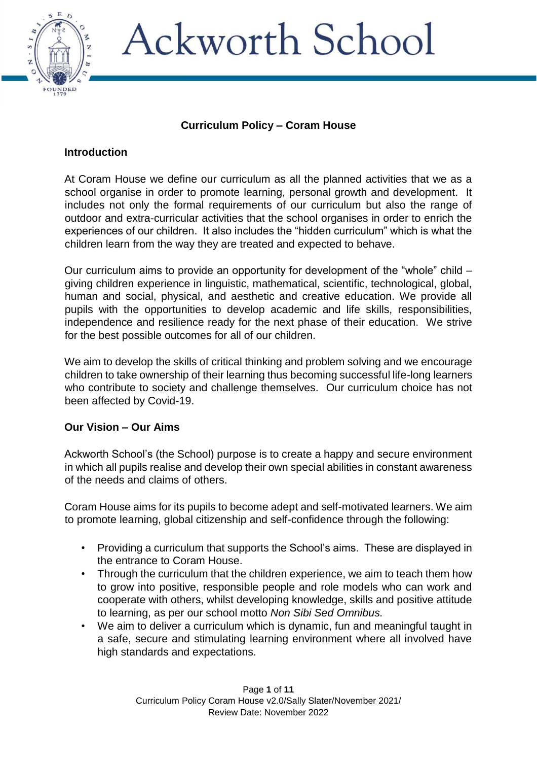

### **Curriculum Policy – Coram House**

#### **Introduction**

At Coram House we define our curriculum as all the planned activities that we as a school organise in order to promote learning, personal growth and development. It includes not only the formal requirements of our curriculum but also the range of outdoor and extra-curricular activities that the school organises in order to enrich the experiences of our children. It also includes the "hidden curriculum" which is what the children learn from the way they are treated and expected to behave.

Our curriculum aims to provide an opportunity for development of the "whole" child – giving children experience in linguistic, mathematical, scientific, technological, global, human and social, physical, and aesthetic and creative education. We provide all pupils with the opportunities to develop academic and life skills, responsibilities, independence and resilience ready for the next phase of their education. We strive for the best possible outcomes for all of our children.

We aim to develop the skills of critical thinking and problem solving and we encourage children to take ownership of their learning thus becoming successful life-long learners who contribute to society and challenge themselves. Our curriculum choice has not been affected by Covid-19.

#### **Our Vision – Our Aims**

Ackworth School's (the School) purpose is to create a happy and secure environment in which all pupils realise and develop their own special abilities in constant awareness of the needs and claims of others.

Coram House aims for its pupils to become adept and self-motivated learners. We aim to promote learning, global citizenship and self-confidence through the following:

- Providing a curriculum that supports the School's aims. These are displayed in the entrance to Coram House.
- Through the curriculum that the children experience, we aim to teach them how to grow into positive, responsible people and role models who can work and cooperate with others, whilst developing knowledge, skills and positive attitude to learning, as per our school motto *Non Sibi Sed Omnibus.*
- We aim to deliver a curriculum which is dynamic, fun and meaningful taught in a safe, secure and stimulating learning environment where all involved have high standards and expectations.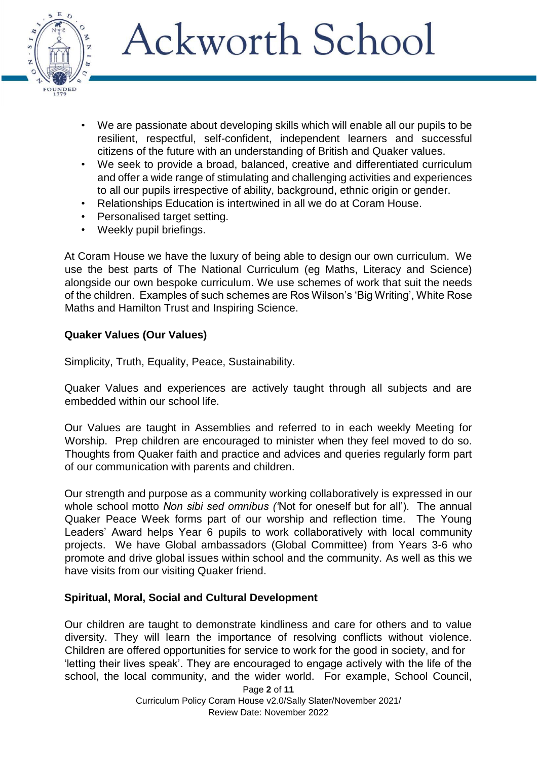

- We are passionate about developing skills which will enable all our pupils to be resilient, respectful, self-confident, independent learners and successful citizens of the future with an understanding of British and Quaker values.
- We seek to provide a broad, balanced, creative and differentiated curriculum and offer a wide range of stimulating and challenging activities and experiences to all our pupils irrespective of ability, background, ethnic origin or gender.
- Relationships Education is intertwined in all we do at Coram House.
- Personalised target setting.
- Weekly pupil briefings.

At Coram House we have the luxury of being able to design our own curriculum. We use the best parts of The National Curriculum (eg Maths, Literacy and Science) alongside our own bespoke curriculum. We use schemes of work that suit the needs of the children. Examples of such schemes are Ros Wilson's 'Big Writing', White Rose Maths and Hamilton Trust and Inspiring Science.

### **Quaker Values (Our Values)**

Simplicity, Truth, Equality, Peace, Sustainability.

Quaker Values and experiences are actively taught through all subjects and are embedded within our school life.

Our Values are taught in Assemblies and referred to in each weekly Meeting for Worship. Prep children are encouraged to minister when they feel moved to do so. Thoughts from Quaker faith and practice and advices and queries regularly form part of our communication with parents and children.

Our strength and purpose as a community working collaboratively is expressed in our whole school motto *Non sibi sed omnibus ('*Not for oneself but for all'). The annual Quaker Peace Week forms part of our worship and reflection time. The Young Leaders' Award helps Year 6 pupils to work collaboratively with local community projects. We have Global ambassadors (Global Committee) from Years 3-6 who promote and drive global issues within school and the community. As well as this we have visits from our visiting Quaker friend.

### **Spiritual, Moral, Social and Cultural Development**

Our children are taught to demonstrate kindliness and care for others and to value diversity. They will learn the importance of resolving conflicts without violence. Children are offered opportunities for service to work for the good in society, and for 'letting their lives speak'. They are encouraged to engage actively with the life of the school, the local community, and the wider world. For example, School Council,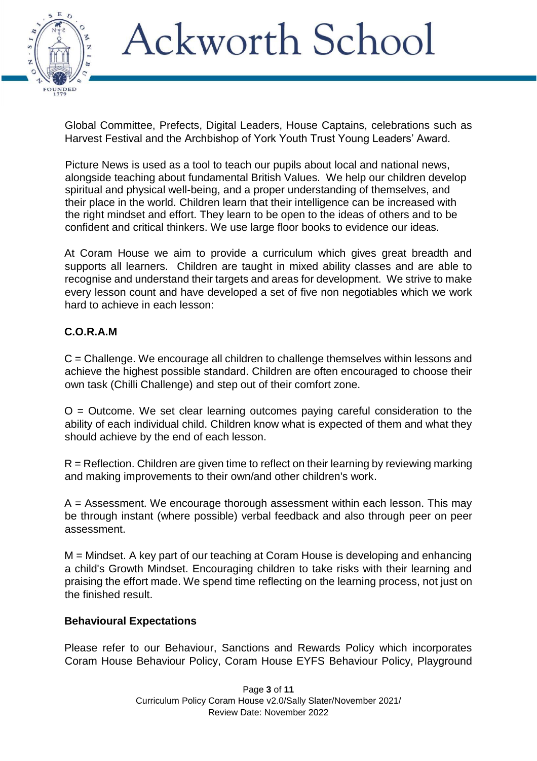

Global Committee, Prefects, Digital Leaders, House Captains, celebrations such as Harvest Festival and the Archbishop of York Youth Trust Young Leaders' Award.

Picture News is used as a tool to teach our pupils about local and national news, alongside teaching about fundamental British Values. We help our children develop spiritual and physical well-being, and a proper understanding of themselves, and their place in the world. Children learn that their intelligence can be increased with the right mindset and effort. They learn to be open to the ideas of others and to be confident and critical thinkers. We use large floor books to evidence our ideas.

At Coram House we aim to provide a curriculum which gives great breadth and supports all learners. Children are taught in mixed ability classes and are able to recognise and understand their targets and areas for development. We strive to make every lesson count and have developed a set of five non negotiables which we work hard to achieve in each lesson:

### **C.O.R.A.M**

C = Challenge. We encourage all children to challenge themselves within lessons and achieve the highest possible standard. Children are often encouraged to choose their own task (Chilli Challenge) and step out of their comfort zone.

 $O =$  Outcome. We set clear learning outcomes paying careful consideration to the ability of each individual child. Children know what is expected of them and what they should achieve by the end of each lesson.

R = Reflection. Children are given time to reflect on their learning by reviewing marking and making improvements to their own/and other children's work.

A = Assessment. We encourage thorough assessment within each lesson. This may be through instant (where possible) verbal feedback and also through peer on peer assessment.

M = Mindset. A key part of our teaching at Coram House is developing and enhancing a child's Growth Mindset. Encouraging children to take risks with their learning and praising the effort made. We spend time reflecting on the learning process, not just on the finished result.

#### **Behavioural Expectations**

Please refer to our Behaviour, Sanctions and Rewards Policy which incorporates Coram House Behaviour Policy, Coram House EYFS Behaviour Policy, Playground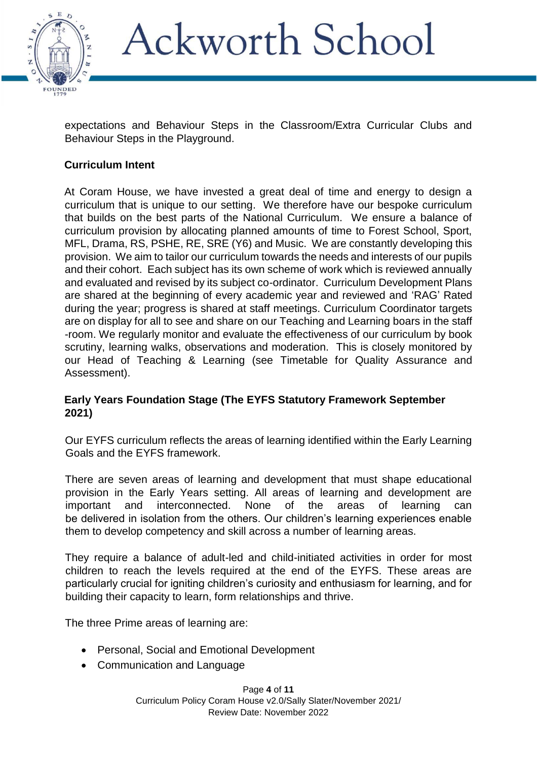

expectations and Behaviour Steps in the Classroom/Extra Curricular Clubs and Behaviour Steps in the Playground.

### **Curriculum Intent**

At Coram House, we have invested a great deal of time and energy to design a curriculum that is unique to our setting. We therefore have our bespoke curriculum that builds on the best parts of the National Curriculum. We ensure a balance of curriculum provision by allocating planned amounts of time to Forest School, Sport, MFL, Drama, RS, PSHE, RE, SRE (Y6) and Music. We are constantly developing this provision. We aim to tailor our curriculum towards the needs and interests of our pupils and their cohort. Each subject has its own scheme of work which is reviewed annually and evaluated and revised by its subject co-ordinator. Curriculum Development Plans are shared at the beginning of every academic year and reviewed and 'RAG' Rated during the year; progress is shared at staff meetings. Curriculum Coordinator targets are on display for all to see and share on our Teaching and Learning boars in the staff -room. We regularly monitor and evaluate the effectiveness of our curriculum by book scrutiny, learning walks, observations and moderation. This is closely monitored by our Head of Teaching & Learning (see Timetable for Quality Assurance and Assessment).

### **Early Years Foundation Stage (The EYFS Statutory Framework September 2021)**

Our EYFS curriculum reflects the areas of learning identified within the Early Learning Goals and the EYFS framework.

There are seven areas of learning and development that must shape educational provision in the Early Years setting. All areas of learning and development are important and interconnected. None of the areas of learning can be delivered in isolation from the others. Our children's learning experiences enable them to develop competency and skill across a number of learning areas.

They require a balance of adult-led and child-initiated activities in order for most children to reach the levels required at the end of the EYFS. These areas are particularly crucial for igniting children's curiosity and enthusiasm for learning, and for building their capacity to learn, form relationships and thrive.

The three Prime areas of learning are:

- Personal, Social and Emotional Development
- Communication and Language

Page **4** of **11** Curriculum Policy Coram House v2.0/Sally Slater/November 2021/ Review Date: November 2022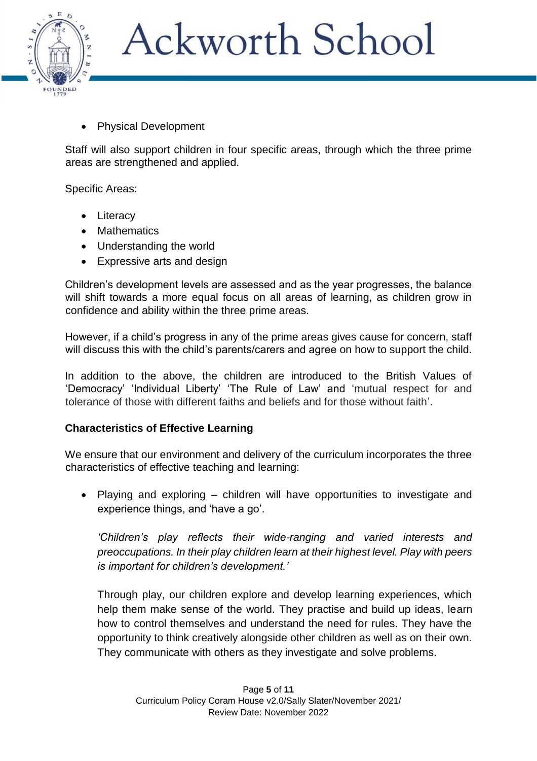

Physical Development

Staff will also support children in four specific areas, through which the three prime areas are strengthened and applied.

Specific Areas:

- Literacy
- Mathematics
- Understanding the world
- Expressive arts and design

Children's development levels are assessed and as the year progresses, the balance will shift towards a more equal focus on all areas of learning, as children grow in confidence and ability within the three prime areas.

However, if a child's progress in any of the prime areas gives cause for concern, staff will discuss this with the child's parents/carers and agree on how to support the child.

In addition to the above, the children are introduced to the British Values of 'Democracy' 'Individual Liberty' 'The Rule of Law' and 'mutual respect for and tolerance of those with different faiths and beliefs and for those without faith'.

#### **Characteristics of Effective Learning**

We ensure that our environment and delivery of the curriculum incorporates the three characteristics of effective teaching and learning:

• Playing and exploring – children will have opportunities to investigate and experience things, and 'have a go'.

*'Children's play reflects their wide-ranging and varied interests and preoccupations. In their play children learn at their highest level. Play with peers is important for children's development.'*

Through play, our children explore and develop learning experiences, which help them make sense of the world. They practise and build up ideas, learn how to control themselves and understand the need for rules. They have the opportunity to think creatively alongside other children as well as on their own. They communicate with others as they investigate and solve problems.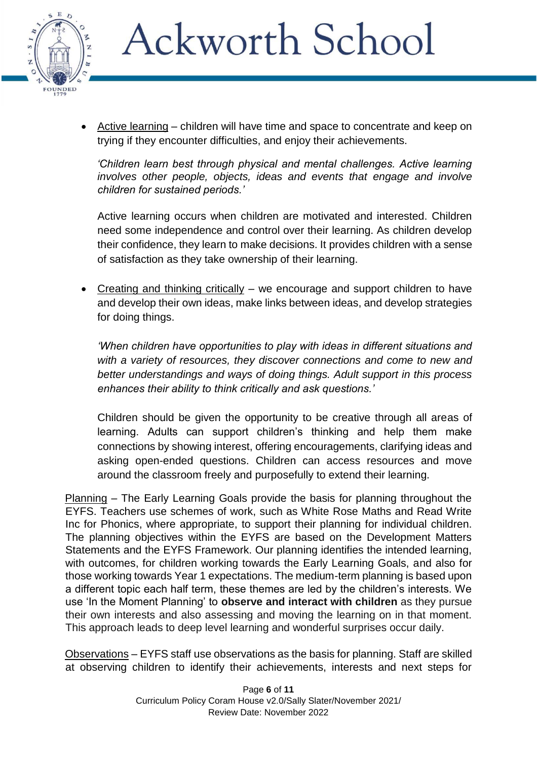

 Active learning – children will have time and space to concentrate and keep on trying if they encounter difficulties, and enjoy their achievements.

*'Children learn best through physical and mental challenges. Active learning involves other people, objects, ideas and events that engage and involve children for sustained periods.'*

Active learning occurs when children are motivated and interested. Children need some independence and control over their learning. As children develop their confidence, they learn to make decisions. It provides children with a sense of satisfaction as they take ownership of their learning.

• Creating and thinking critically – we encourage and support children to have and develop their own ideas, make links between ideas, and develop strategies for doing things.

*'When children have opportunities to play with ideas in different situations and with a variety of resources, they discover connections and come to new and better understandings and ways of doing things. Adult support in this process enhances their ability to think critically and ask questions.'*

Children should be given the opportunity to be creative through all areas of learning. Adults can support children's thinking and help them make connections by showing interest, offering encouragements, clarifying ideas and asking open-ended questions. Children can access resources and move around the classroom freely and purposefully to extend their learning.

Planning – The Early Learning Goals provide the basis for planning throughout the EYFS. Teachers use schemes of work, such as White Rose Maths and Read Write Inc for Phonics, where appropriate, to support their planning for individual children. The planning objectives within the EYFS are based on the Development Matters Statements and the EYFS Framework. Our planning identifies the intended learning, with outcomes, for children working towards the Early Learning Goals, and also for those working towards Year 1 expectations. The medium-term planning is based upon a different topic each half term, these themes are led by the children's interests. We use 'In the Moment Planning' to **observe and interact with children** as they pursue their own interests and also assessing and moving the learning on in that moment. This approach leads to deep level learning and wonderful surprises occur daily.

Observations – EYFS staff use observations as the basis for planning. Staff are skilled at observing children to identify their achievements, interests and next steps for

> Page **6** of **11** Curriculum Policy Coram House v2.0/Sally Slater/November 2021/ Review Date: November 2022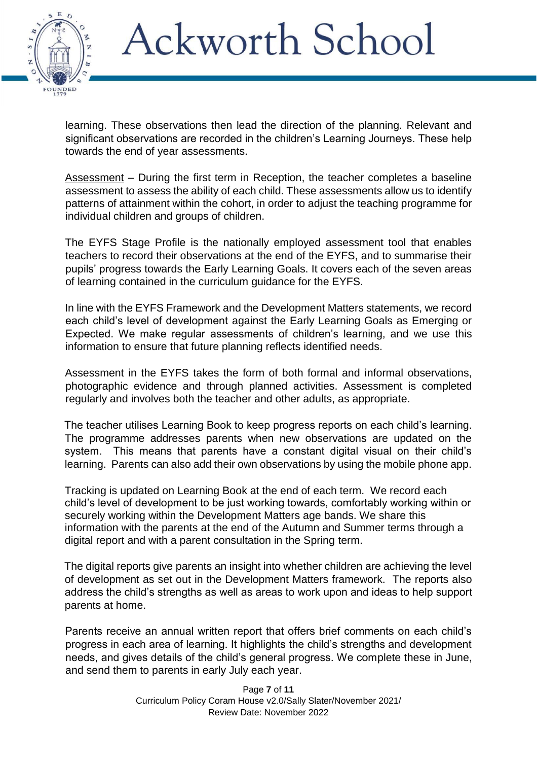

learning. These observations then lead the direction of the planning. Relevant and significant observations are recorded in the children's Learning Journeys. These help towards the end of year assessments.

Assessment - During the first term in Reception, the teacher completes a baseline assessment to assess the ability of each child. These assessments allow us to identify patterns of attainment within the cohort, in order to adjust the teaching programme for individual children and groups of children.

The EYFS Stage Profile is the nationally employed assessment tool that enables teachers to record their observations at the end of the EYFS, and to summarise their pupils' progress towards the Early Learning Goals. It covers each of the seven areas of learning contained in the curriculum guidance for the EYFS.

In line with the EYFS Framework and the Development Matters statements, we record each child's level of development against the Early Learning Goals as Emerging or Expected. We make regular assessments of children's learning, and we use this information to ensure that future planning reflects identified needs.

Assessment in the EYFS takes the form of both formal and informal observations, photographic evidence and through planned activities. Assessment is completed regularly and involves both the teacher and other adults, as appropriate.

The teacher utilises Learning Book to keep progress reports on each child's learning. The programme addresses parents when new observations are updated on the system. This means that parents have a constant digital visual on their child's learning. Parents can also add their own observations by using the mobile phone app.

Tracking is updated on Learning Book at the end of each term. We record each child's level of development to be just working towards, comfortably working within or securely working within the Development Matters age bands. We share this information with the parents at the end of the Autumn and Summer terms through a digital report and with a parent consultation in the Spring term.

The digital reports give parents an insight into whether children are achieving the level of development as set out in the Development Matters framework. The reports also address the child's strengths as well as areas to work upon and ideas to help support parents at home.

Parents receive an annual written report that offers brief comments on each child's progress in each area of learning. It highlights the child's strengths and development needs, and gives details of the child's general progress. We complete these in June, and send them to parents in early July each year.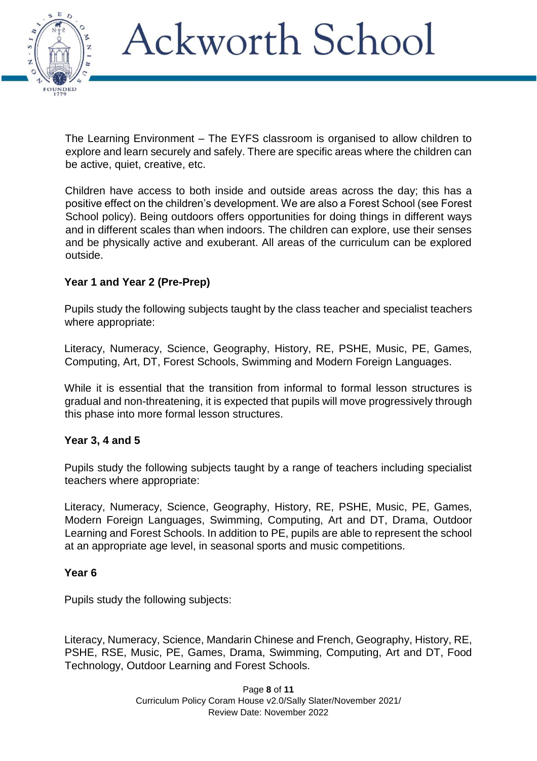

The Learning Environment – The EYFS classroom is organised to allow children to explore and learn securely and safely. There are specific areas where the children can be active, quiet, creative, etc.

Children have access to both inside and outside areas across the day; this has a positive effect on the children's development. We are also a Forest School (see Forest School policy). Being outdoors offers opportunities for doing things in different ways and in different scales than when indoors. The children can explore, use their senses and be physically active and exuberant. All areas of the curriculum can be explored outside.

### **Year 1 and Year 2 (Pre-Prep)**

Pupils study the following subjects taught by the class teacher and specialist teachers where appropriate:

Literacy, Numeracy, Science, Geography, History, RE, PSHE, Music, PE, Games, Computing, Art, DT, Forest Schools, Swimming and Modern Foreign Languages.

While it is essential that the transition from informal to formal lesson structures is gradual and non-threatening, it is expected that pupils will move progressively through this phase into more formal lesson structures.

### **Year 3, 4 and 5**

Pupils study the following subjects taught by a range of teachers including specialist teachers where appropriate:

Literacy, Numeracy, Science, Geography, History, RE, PSHE, Music, PE, Games, Modern Foreign Languages, Swimming, Computing, Art and DT, Drama, Outdoor Learning and Forest Schools. In addition to PE, pupils are able to represent the school at an appropriate age level, in seasonal sports and music competitions.

#### **Year 6**

Pupils study the following subjects:

Literacy, Numeracy, Science, Mandarin Chinese and French, Geography, History, RE, PSHE, RSE, Music, PE, Games, Drama, Swimming, Computing, Art and DT, Food Technology, Outdoor Learning and Forest Schools.

> Page **8** of **11** Curriculum Policy Coram House v2.0/Sally Slater/November 2021/ Review Date: November 2022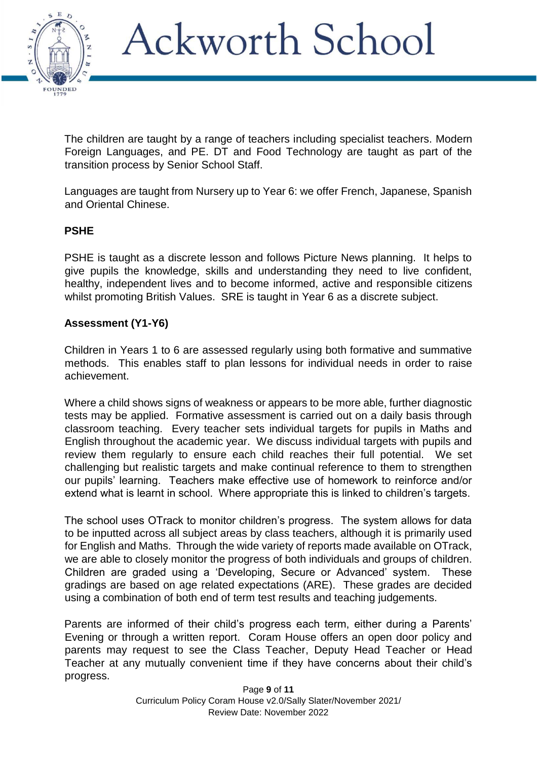

The children are taught by a range of teachers including specialist teachers. Modern Foreign Languages, and PE. DT and Food Technology are taught as part of the transition process by Senior School Staff.

Languages are taught from Nursery up to Year 6: we offer French, Japanese, Spanish and Oriental Chinese.

### **PSHE**

PSHE is taught as a discrete lesson and follows Picture News planning. It helps to give pupils the knowledge, skills and understanding they need to live confident, healthy, independent lives and to become informed, active and responsible citizens whilst promoting British Values. SRE is taught in Year 6 as a discrete subject.

### **Assessment (Y1-Y6)**

Children in Years 1 to 6 are assessed regularly using both formative and summative methods. This enables staff to plan lessons for individual needs in order to raise achievement.

Where a child shows signs of weakness or appears to be more able, further diagnostic tests may be applied. Formative assessment is carried out on a daily basis through classroom teaching. Every teacher sets individual targets for pupils in Maths and English throughout the academic year. We discuss individual targets with pupils and review them regularly to ensure each child reaches their full potential. We set challenging but realistic targets and make continual reference to them to strengthen our pupils' learning. Teachers make effective use of homework to reinforce and/or extend what is learnt in school. Where appropriate this is linked to children's targets.

The school uses OTrack to monitor children's progress. The system allows for data to be inputted across all subject areas by class teachers, although it is primarily used for English and Maths. Through the wide variety of reports made available on OTrack, we are able to closely monitor the progress of both individuals and groups of children. Children are graded using a 'Developing, Secure or Advanced' system. These gradings are based on age related expectations (ARE). These grades are decided using a combination of both end of term test results and teaching judgements.

Parents are informed of their child's progress each term, either during a Parents' Evening or through a written report. Coram House offers an open door policy and parents may request to see the Class Teacher, Deputy Head Teacher or Head Teacher at any mutually convenient time if they have concerns about their child's progress.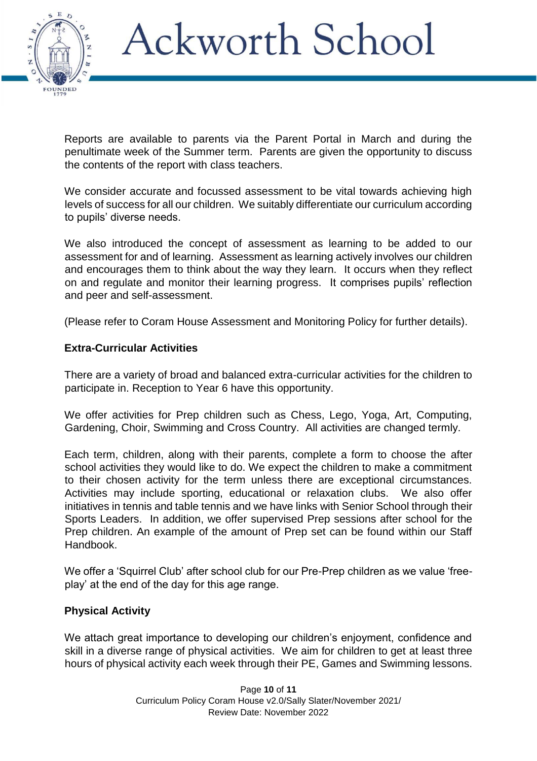

Reports are available to parents via the Parent Portal in March and during the penultimate week of the Summer term. Parents are given the opportunity to discuss the contents of the report with class teachers.

We consider accurate and focussed assessment to be vital towards achieving high levels of success for all our children. We suitably differentiate our curriculum according to pupils' diverse needs.

We also introduced the concept of assessment as learning to be added to our assessment for and of learning. Assessment as learning actively involves our children and encourages them to think about the way they learn. It occurs when they reflect on and regulate and monitor their learning progress. It comprises pupils' reflection and peer and self-assessment.

(Please refer to Coram House Assessment and Monitoring Policy for further details).

### **Extra-Curricular Activities**

There are a variety of broad and balanced extra-curricular activities for the children to participate in. Reception to Year 6 have this opportunity.

We offer activities for Prep children such as Chess, Lego, Yoga, Art, Computing, Gardening, Choir, Swimming and Cross Country. All activities are changed termly.

Each term, children, along with their parents, complete a form to choose the after school activities they would like to do. We expect the children to make a commitment to their chosen activity for the term unless there are exceptional circumstances. Activities may include sporting, educational or relaxation clubs. We also offer initiatives in tennis and table tennis and we have links with Senior School through their Sports Leaders. In addition, we offer supervised Prep sessions after school for the Prep children. An example of the amount of Prep set can be found within our Staff Handbook.

We offer a 'Squirrel Club' after school club for our Pre-Prep children as we value 'freeplay' at the end of the day for this age range.

#### **Physical Activity**

We attach great importance to developing our children's enjoyment, confidence and skill in a diverse range of physical activities. We aim for children to get at least three hours of physical activity each week through their PE, Games and Swimming lessons.